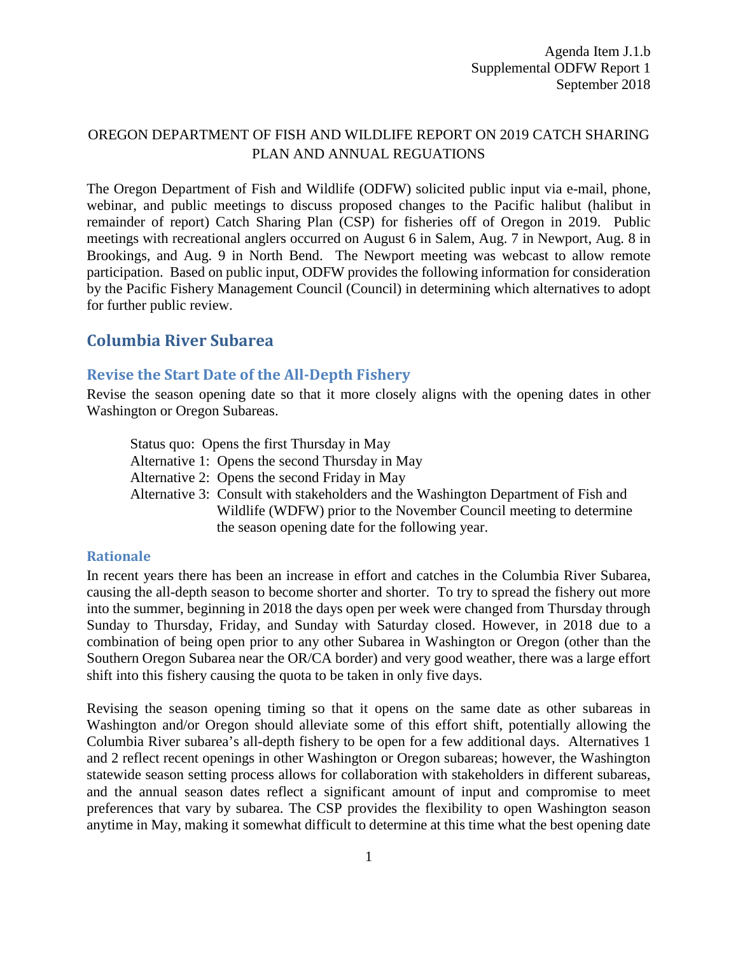## OREGON DEPARTMENT OF FISH AND WILDLIFE REPORT ON 2019 CATCH SHARING PLAN AND ANNUAL REGUATIONS

The Oregon Department of Fish and Wildlife (ODFW) solicited public input via e-mail, phone, webinar, and public meetings to discuss proposed changes to the Pacific halibut (halibut in remainder of report) Catch Sharing Plan (CSP) for fisheries off of Oregon in 2019. Public meetings with recreational anglers occurred on August 6 in Salem, Aug. 7 in Newport, Aug. 8 in Brookings, and Aug. 9 in North Bend. The Newport meeting was webcast to allow remote participation. Based on public input, ODFW provides the following information for consideration by the Pacific Fishery Management Council (Council) in determining which alternatives to adopt for further public review.

# **Columbia River Subarea**

### **Revise the Start Date of the All-Depth Fishery**

Revise the season opening date so that it more closely aligns with the opening dates in other Washington or Oregon Subareas.

Status quo: Opens the first Thursday in May Alternative 1: Opens the second Thursday in May Alternative 2: Opens the second Friday in May Alternative 3: Consult with stakeholders and the Washington Department of Fish and Wildlife (WDFW) prior to the November Council meeting to determine the season opening date for the following year.

#### **Rationale**

In recent years there has been an increase in effort and catches in the Columbia River Subarea, causing the all-depth season to become shorter and shorter. To try to spread the fishery out more into the summer, beginning in 2018 the days open per week were changed from Thursday through Sunday to Thursday, Friday, and Sunday with Saturday closed. However, in 2018 due to a combination of being open prior to any other Subarea in Washington or Oregon (other than the Southern Oregon Subarea near the OR/CA border) and very good weather, there was a large effort shift into this fishery causing the quota to be taken in only five days.

Revising the season opening timing so that it opens on the same date as other subareas in Washington and/or Oregon should alleviate some of this effort shift, potentially allowing the Columbia River subarea's all-depth fishery to be open for a few additional days. Alternatives 1 and 2 reflect recent openings in other Washington or Oregon subareas; however, the Washington statewide season setting process allows for collaboration with stakeholders in different subareas, and the annual season dates reflect a significant amount of input and compromise to meet preferences that vary by subarea. The CSP provides the flexibility to open Washington season anytime in May, making it somewhat difficult to determine at this time what the best opening date